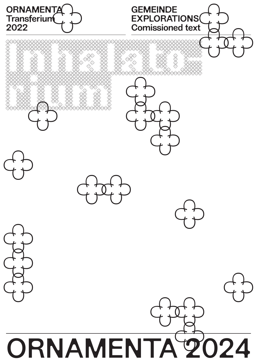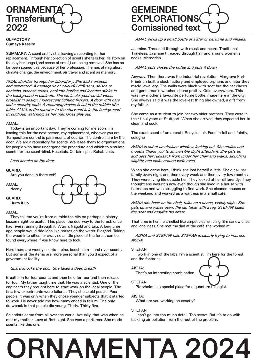

#### **OLFACTORY** Sumaya Kassim

SUMMARY: A scent archivist is leaving a recording for her replacement. Through her collection of scents she tells her life story on the day her lungs (and sense of smell) are being removed. She has so far been spared this because of her profession. Themes of migration, climate change, the environment, air travel and scent as memory.

cimate change<br>AMAL shuffle<br>and distracted<br>hookahs, ince.<br>the backgrour<br>brutalist in de.<br>and a security AMAL shuffles through her laboratory. She looks anxious and distracted. A menagerie of colourful diffusers, shisha or hookahs, incense sticks, perfume bottles and incense sticks in the background in cabinets. The lab is old, post-soviet vibes, brutalist in design. Fluorescent lighting flickers. A door with bars and a security code. A recording device is sat in the middle of a table. AMAL is the narrator to the story and is in the background throughout, watching, as her memories play out.

#### AMAL:

AMAL:<br>Today is an<br>leaving this fo<br>Temperature c<br>door. We are a<br>for people who<br>scents for the Today is an important day. They're coming for me soon. I'm leaving this for the next person, my replacement, whoever you are. Temperature control is paramount, of course. The controls are by the door. We are a repository for scents. We lease them to organisations for people who have undergone the procedure and which to simulate scents for the scent-blind. Hospitals. Certain spas. Rehab units.

Loud knocks on the door.

#### GUARD:

Are you done in there yet?

AMAL:

Nearly!

GUARD: Hurry it up.

#### AMAL:

GUARD:<br>Hurry it up.<br>AMAL:<br>They tell me<br>lesson might l<br>had rivers run lesson might be useful. This place, the doorway to the forest, once<br>had rivers running through it. Würm, Nagold and Enz. A long time<br>ago people would ride logs like horses on the water. Flokerei. Taking<br>the wood into citie They tell me you're from outside the city so perhaps a history lesson might be useful. This place, the doorway to the forest, once had rivers running through it. Würm, Nagold and Enz. A long time ago people would ride logs like horses on the water. Floßerei. Taking the wood into cities far away so a little piece of the forest can be found everywhere if you know here to look.

But some of the items are more personal than you'd expect of a government facility.

#### Guard knocks the door. She takes a deep breath.

But some of the items are more personal than you'd expect of a<br>government facility.<br>Guard knocks the door. She takes a deep breath.<br>Breathe in for four counts and then hold for four and then release<br>for four. My father tau Breathe in for<br>for four. My fa<br>engineers they<br>first few exper<br>people. It was<br>to work. He ne<br>drawback is tl Breathe in for four counts and then hold for four and then release for four. My father taught me that. He was a scientist. One of the engineers they brought here to start work on the local people. The first few experiments were failures. They chose old people. Poor people. It was only when they chose younger subjects that it started to work. He never told me how many ended in failure. The only drawback is that people die young. Thirty. Thirty five.

Scientists came from all over the world. Actually, that was when he met my mother. Love at first sight. She was a perfumer. She made scents like this one…

### ORNAMENTA<br>
Transferium<br>
2022 Comissioned text **GEMEINDE** EXPLORATIONS Comissioned text

AMAL picks up a small bottle of a'atar or perfume and inhales.

Jasmine. Threaded through with musk and neem. Traditional. Timeless. Jasmine threaded through hair and around women's necks. Memories.

#### AMAL puts closes the bottle and puts it down.

Anyway. Then there was the industrial revolution. Margrave Karl-Friedrich built a clock factory and employed orphans and later they made jewellery. The walls were black with soot but the necklaces and gentleman's watches shone prettily. Gold everywhere. This was my mother's favourite perfume bottle, made here in the city. She always said it was the loveliest thing she owned, a gift from my father.

She came as a student to join her two older brothers. They were in their final years at Stuttgart. When she arrived, they expected her to clean and cook.

The exact scent of an aircraft. Recycled air. Food in foil and, faintly, cologne…

AISHA is sat at an airplane window, looking out. She smiles and mouths 'thank you' to an invisible flight attendant. She gets up and gets her rucksack from under her chair and walks, slouching slightly, and looks around wide eyed.

When she came here, I think she lost herself a little. She'd call her family every night and then every week and then every few months. They were living life outside her. They looked at her differently: They thought she was rich now even though she lived in a house with flatmates and was struggling to find work. She cleaned houses on the weekend and worked as a waitress in a small café.

AISHA sits back on the chair, talks on a phone, visibly sighs. She gets up and wipes down the lab table with a rag. STEFAN takes the seat and mouths his order.

That time in her life smelled like carpet cleaner, cling film sandwiches, and loneliness. She met my dad at the café she worked at.

AISHA and STEFAN talk. STEFAN is clearly trying to impress AISHA.

#### STEFAN:

I work in one of the labs. I'm a scientist. I'm here for the forest and the factories.

AISHA:

#### STEFAN:

Pforzheim is a special place for a quantum biologist.

#### AISHA:

What are you working on exactly?

That's an interesting combination.

#### STEFAN:

I can't go into too much detail. Top secret. But it's to do with tackling air pollution from the root of the problem.

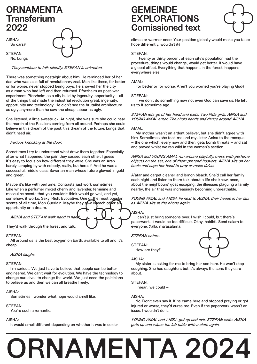### ORNAMENTA **Transferium** 2022

AISHA: So cars?

STEFAN: No. Lungs.



They continue to talk silently. STEFAN is animated.

There was something nostalgic about him. He reminded her of her dad who was also full of revolutionary zeal. Men like these, for better or for worse, never stopped being boys. He showed her the city as a man who had left and then returned. Pforzheim as post-war experiment. Pforzheim as a city build by ingenuity, opportunity – all of the things that made the industrial revolution great: ingenuity, opportunity and technology. He didn't see the brutalist architecture as ugly anymore than he saw the cheap labour as ugly. STEFAN:<br>No. Lungs.<br>*They conti.*<br>There was soldad who was of the things to<br>opportunity are<br>as ugly anymed<br>She listened, a<br>the march of the believe in this

She listened, a little awestruck. At night, she was sure she could hear the march of the Rasslers coming from all around. Perhaps she could believe in this dream of the past, this dream of the future. Lungs that didn't need air.

#### Furious knocking at the door.

Sometimes I try to understand what drew them together. Especially after what happened, the pain they caused each other. I guess it's easy to focus on how different they were. She was an Arab barely scraping by with nobody, really, but herself. And he was a successful, middle class Bavarian man whose future glowed in gold and green. Sometimes I t<br>after what hap<br>it's easy to foo<br>barely scrapin<br>successful, mi<br>and green.

Maybe it's like with perfume: Contrasts just work sometimes. Like when a perfumer mixed cherry and lavender, feminine and masculine scents that you wouldn't think would go well, and yet, somehow, it works. Sexy. Rich. Evocative. One of the most popular scents of all time, Mon Guerlain. Maybe they saw in each other an opportunity or a dream. Somehow, it works. Sexy. Rich. Evocative. One of the most popular<br>scents of all time, Mon Guerlain. Maybe they saw injeach other and as AISHA six<br>opportunity or a dream.<br>AISHA and STEFAN walk hand in hand the sextence of t

AISHA and STEFAN walk hand in hand

They'd walk through the forest and talk…

#### STEFAN:

All around us is the best oxygen on Earth, available to all and it's cheap. They'd walk through the forest and talk.<br>
STEFAN:<br>
All around us is the best oxygen on Earth, available to all and it's<br>
Cheap.<br>
AISHA laughs.

#### AISHA laughs.

#### STEFAN:

I'm serious. We just have to believe that people can be better engineered. We can't wait for evolution. We have the technology to change ourselves to change the world. We just need the politicians to believe us and then we can all breathe freely. AISHA laug<br>STEFAN:<br>I'm serious.<br>engineered. W<br>change oursel

#### AISHA:

Sometimes I wonder what hope would smell like.

#### STEFAN:

You're such a romantic.

#### AISHA:

It would smell different depending on whether it was in colder

## GEMEINDE EXPLORATIONS Comissioned text **ORNAMENTA**<br> **CORNAMENTA**<br> **EXPLORATIONS**<br> **COMISSIONE (EXPLORATIONS)**<br> **COMISSIONE COMISSIONE COMISSIONE COMISSIONE COMISSIONE COMISSIONE COMISSIONE COMISSIONE COMISSIONE COMISSIONE COMISSIONE COMISSIONE COMISSIONE COMISS**

climes or warmer ones: Your position globally would make you taste hope differently, wouldn't it?

#### STEFAN:

If twenty or thirty percent of each city's population had the procedure, things would change, would get better. It would have a global effect. Everything that happens in the forest, happens everywhere else.

#### AMAL:

For better or for worse. Aren't you worried you're playing God?

#### STEFAN:

If we don't do something now not even God can save us. He left us to it sometime ago.

#### STEFAN lets go of her hand and exits. Two little girls, ANISA and YOUNG AMAL enter. They hold hands and dance around AISHA.

#### AMAL:

My mother wasn't an ardent believer, but she didn't agree with him. Sometimes she took me and my sister Anisa to the mosque – the one which, every now and then, gets bomb threats – and sat and prayed whist we ran wild in the women's section.

ANISA and YOUNG AMAL run around playfully, mess with perfume objects on the set, one of them pretend hoovers. AISHA sits on her heels and cups her hand to pray or make du'aa.

A'atar and carpet cleaner and lemon bleach. She'd call her family each night and listen to them talk about a life she knew, once, about the neighbours' goat escaping, the illnesses plaguing a family nearby, the air that was increasingly becoming unbreathable.

YOUNG AMAL and ANISA lie next to AISHA, their heads in her lap, as AISHA sits at the phone again.

#### AISHA:

I can't just bring someone over. I wish I could, but there's paperwork. It would be too difficult. Okay, habibti. Send salam to everyone. Yalla, ma'asalama.

STEFAN enters.

STEFAN:

How are they?

#### AISHA:

My sister is asking for me to bring her son here. He won't stop coughing. She has daughters but it's always the sons they care about.

#### STEFAN:

I mean, we could –

#### AISHA:

No. Don't even say it. If he came here and stopped praying or got injured or worse, they'd curse me. Even if the paperwork wasn't an issue, I wouldn't do it.

YOUNG AMAL and ANISA get up and exit. STEFAN exits. AISHA gets up and wipes the lab table with a cloth again.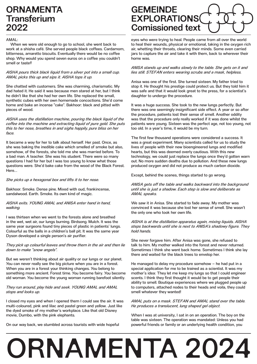## **ORNAMENTA Transferium**

#### AMAL:

When we were old enough to go to school, she went back to work at a shisha café. She served people black coffees. Cardamom, bitterness, amaretto biscuits. Eventually there would be no coffee shop. Why would you spend seven euros on a coffee you couldn't smell or taste? **2022**<br>AMAL:<br>When we w<br>work at a shis<br>bitterness, am

#### AISHA pours thick black liquid from a silver pot into a small cup. AMAL picks this up and sips it. AISHA tops it up.

She chatted with customers. She was charming, charismatic. My dad hated it. He said it was because men stared at her, but I think he didn't like that she had her own life. She replaced the small, synthetic cubes with her own homemade concoctions. She'd come AISHA pours trick black liquid from a silver pot into a small cup.<br>AMAL picks this up and sips it. AISHA tops it up.<br>She chatted with customers. She was charming, charismatic. My<br>dad hated it. He said it was because men st pieces of wood.

AISHA uses the distillation machine, pouring the black liquid of the coffee into the machine and extracting liquid of pure gold. She puts this to her nose, breathes in and sighs happily, pure bliss on her face.

It became a way for her to talk about herself. Her past. Once, as she was baking the inedible cake which smelled of smoke but also, somehow, of the forests, she told me she was married before. To a bad man. A teacher. She was his student. There were so many questions I had for her but I was too young to know what those questions were. She'd bake cake from the wood of the Black Forest. Here….. coffee into the<br>this to her nos<br>face.<br>It became a w<br>she was bakir<br>somehow, of t

She picks up a hexagonal box and lifts it to her nose.

Bakhoor. Smoke. Dense pine. Mixed with oud, frankincense, sandalwood. Earth. Smoke. Its own kind of magic. Here...<br>*She picks up i*<br>Bakhoor. Smo<br>sandalwood. E<br>*AISHA exits.* )

#### AISHA exits. YOUNG AMAL and ANISA enter hand in hand, walking.

I was thirteen when we went to the forests alone and breathed in the wet, wet air, our lungs burning. Birdsong. Mulch. It was the same year surgeons found tiny pieces of plastic in patients' lungs. Colourful as the balls in a children's ball pit. It was the same year Dyson developed a single person's air purifier. AISHA exits.<br>AISHA exits. )<br>walking.<br>I was thirteen<br>in the wet, we<br>same year sur

They pick up colourful leaves and throw them in the air and then lie down to make "snow angels".

But we weren't thinking about air quality or our lungs or our planet. You can never really see the big picture when you are in a forest. When you are in a forest your thinking changes. You belong to something more ancient. Forest time. You become fairy. You become old woman. You become the young woman running barefoot silently.

#### They run around, play hide and seek. YOUNG AMAL and AMAL stops and looks up.

I closed my eyes and when I opened them I could see the air. It was multi-coloured, pink and lilac and pastel green and yellow. Just like the dyed smoke of my mother's workplace. Like that old Disney movie, Dumbo, with the pink elephants.

On our way back, we stumbled across tourists with wide hopeful

### **GEMEINDE** EXPLORATIONS Comissioned text ORNAMENTA<br>Transferium EXPLORATIONS<br>2022 Comissioned text

eyes who were trying to heal. People came from all over the world to heal their wounds, physical or emotional, taking in the oxygen rich air, whetting their throats, clearing their minds. Some even carried jars to capture the air and take it with them, back to wherever their home was.

#### ANISA stands up and walks slowly to the table. She gets on it and lies still. STEFAN enters wearing scrubs and a mask, helpless.

Anisa was one of the first. She turned sixteen. My father tried to stop it. He thought his prestige could protect us. But they told him it was safe and that it would look great to the press, for a scientist's daughter to undergo the procedure.

It was a huge success. She took to the new lungs perfectly. But there was one seemingly insignificant side effect. A year or so after the procedure, patients lost their sense of smell. Another oddity was that the procedure only really worked if it was done whilst the patients were young. Sixteen was the perfect age, not too young, not too old. In a year's time, it would be my turn.

The first few thousand operations were considered a success. It was a great experiment. Many scientists called for us to study the lives of people with their new bioengineered lungs and modified hearts, but this was deemed overly cautious. With this new technology, we could just replace the lungs once they'd gotten warn out. No more sudden deaths due to pollution. And these new lungs produced oxygen and did not produce as much carbon dioxide.

Except, behind the scenes, things started to go wrong.

ANISA gets off the table and walks backward into the background until she is just a shadow. Each step is slow and deliberate as AMAL speaks.

We saw it in Anisa. She started to fade away. My mother was convinced it was because she lost her sense of smell. She wasn't the only one who took her own life.

AISHA is at the distillation apparatus again, mixing liquids. AISHA steps backwards until she is next to ANISA's shadowy figure. They hold hands.

She never forgave him. After Anisa was gone, she refused to talk to him. My mother walked into the forest and never returned. Sometimes I think she went back home. Sometimes I think she lay there and waited for the black trees to envelop her.

He managed to delay my procedure somehow – he had put in a special application for me to be trained as a scientist. It was my mother's idea: They let me keep my lungs so that I could engineer scents. I think they first thought it would be to get people their ability to smell. Boutique experiences where we plugged people up to computers, attached nodes to their heads and voila, they could smell whatever they wanted!

AMAL puts on a mask. STEFAN and AMAL stand over the table. He produces a translucent, lung shaped gel object.

When I was at university, I sat in on an operation. The boy on the table was sixteen. The operation was mandated: Unless you had powerful friends or family or an underlying health condition, you